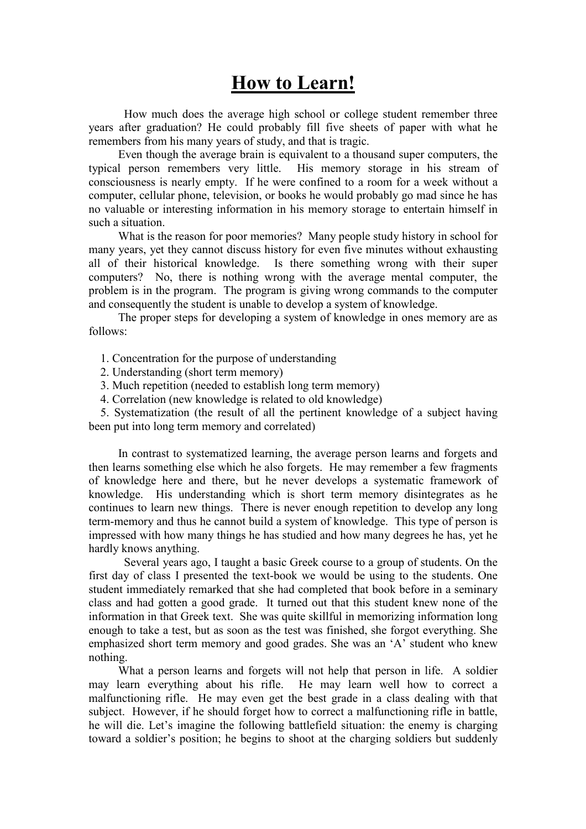## How to Learn!

How much does the average high school or college student remember three years after graduation? He could probably fill five sheets of paper with what he remembers from his many years of study, and that is tragic.

 Even though the average brain is equivalent to a thousand super computers, the typical person remembers very little. His memory storage in his stream of consciousness is nearly empty. If he were confined to a room for a week without a computer, cellular phone, television, or books he would probably go mad since he has no valuable or interesting information in his memory storage to entertain himself in such a situation.

 What is the reason for poor memories? Many people study history in school for many years, yet they cannot discuss history for even five minutes without exhausting all of their historical knowledge. Is there something wrong with their super computers? No, there is nothing wrong with the average mental computer, the problem is in the program. The program is giving wrong commands to the computer and consequently the student is unable to develop a system of knowledge.

 The proper steps for developing a system of knowledge in ones memory are as follows:

- 1. Concentration for the purpose of understanding
- 2. Understanding (short term memory)
- 3. Much repetition (needed to establish long term memory)
- 4. Correlation (new knowledge is related to old knowledge)

 5. Systematization (the result of all the pertinent knowledge of a subject having been put into long term memory and correlated)

 In contrast to systematized learning, the average person learns and forgets and then learns something else which he also forgets. He may remember a few fragments of knowledge here and there, but he never develops a systematic framework of knowledge. His understanding which is short term memory disintegrates as he continues to learn new things. There is never enough repetition to develop any long term-memory and thus he cannot build a system of knowledge. This type of person is impressed with how many things he has studied and how many degrees he has, yet he hardly knows anything.

Several years ago, I taught a basic Greek course to a group of students. On the first day of class I presented the text-book we would be using to the students. One student immediately remarked that she had completed that book before in a seminary class and had gotten a good grade. It turned out that this student knew none of the information in that Greek text. She was quite skillful in memorizing information long enough to take a test, but as soon as the test was finished, she forgot everything. She emphasized short term memory and good grades. She was an 'A' student who knew nothing.

 What a person learns and forgets will not help that person in life. A soldier may learn everything about his rifle. He may learn well how to correct a malfunctioning rifle. He may even get the best grade in a class dealing with that subject. However, if he should forget how to correct a malfunctioning rifle in battle, he will die. Let's imagine the following battlefield situation: the enemy is charging toward a soldier's position; he begins to shoot at the charging soldiers but suddenly